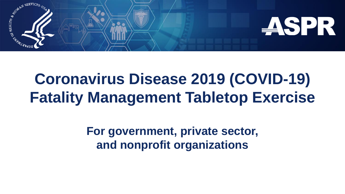

# **Coronavirus Disease 2019 (COVID-19) Fatality Management Tabletop Exercise**

**For government, private sector, and nonprofit organizations**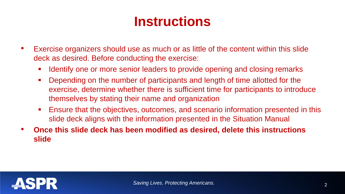### **Instructions**

- Exercise organizers should use as much or as little of the content within this slide deck as desired. Before conducting the exercise:
	- I dentify one or more senior leaders to provide opening and closing remarks
	- Depending on the number of participants and length of time allotted for the exercise, determine whether there is sufficient time for participants to introduce themselves by stating their name and organization
	- Ensure that the objectives, outcomes, and scenario information presented in this slide deck aligns with the information presented in the Situation Manual
- **Once this slide deck has been modified as desired, delete this instructions slide**

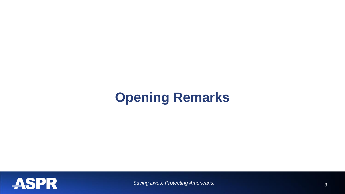### **Opening Remarks**

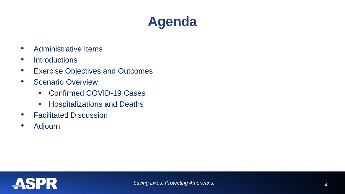# **Agenda**

- Administrative Items
- Introductions
- Exercise Objectives and Outcomes
- Scenario Overview
	- Confirmed COVID-19 Cases
	- **Hospitalizations and Deaths**
- Facilitated Discussion
- Adjourn

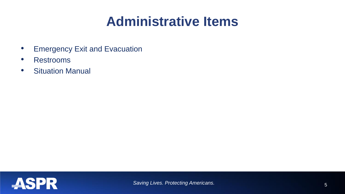### **Administrative Items**

- Emergency Exit and Evacuation
- Restrooms
- Situation Manual

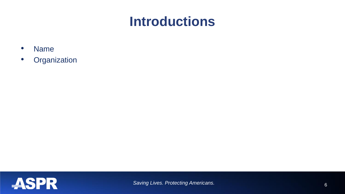#### **Introductions**

- Name
- Organization

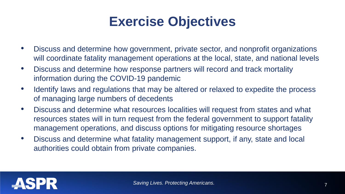#### **Exercise Objectives**

- Discuss and determine how government, private sector, and nonprofit organizations will coordinate fatality management operations at the local, state, and national levels
- Discuss and determine how response partners will record and track mortality information during the COVID-19 pandemic
- Identify laws and regulations that may be altered or relaxed to expedite the process of managing large numbers of decedents
- Discuss and determine what resources localities will request from states and what resources states will in turn request from the federal government to support fatality management operations, and discuss options for mitigating resource shortages
- Discuss and determine what fatality management support, if any, state and local authorities could obtain from private companies.

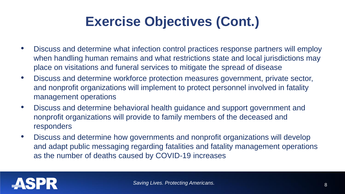# **Exercise Objectives (Cont.)**

- Discuss and determine what infection control practices response partners will employ when handling human remains and what restrictions state and local jurisdictions may place on visitations and funeral services to mitigate the spread of disease
- Discuss and determine workforce protection measures government, private sector, and nonprofit organizations will implement to protect personnel involved in fatality management operations
- Discuss and determine behavioral health guidance and support government and nonprofit organizations will provide to family members of the deceased and responders
- Discuss and determine how governments and nonprofit organizations will develop and adapt public messaging regarding fatalities and fatality management operations as the number of deaths caused by COVID-19 increases

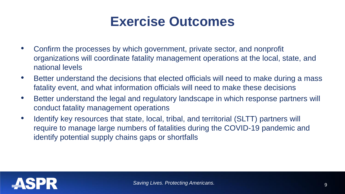#### **Exercise Outcomes**

- Confirm the processes by which government, private sector, and nonprofit organizations will coordinate fatality management operations at the local, state, and national levels
- Better understand the decisions that elected officials will need to make during a mass fatality event, and what information officials will need to make these decisions
- Better understand the legal and regulatory landscape in which response partners will conduct fatality management operations
- Identify key resources that state, local, tribal, and territorial (SLTT) partners will require to manage large numbers of fatalities during the COVID-19 pandemic and identify potential supply chains gaps or shortfalls

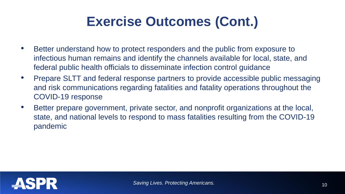# **Exercise Outcomes (Cont.)**

- Better understand how to protect responders and the public from exposure to infectious human remains and identify the channels available for local, state, and federal public health officials to disseminate infection control guidance
- Prepare SLTT and federal response partners to provide accessible public messaging and risk communications regarding fatalities and fatality operations throughout the COVID-19 response
- Better prepare government, private sector, and nonprofit organizations at the local, state, and national levels to respond to mass fatalities resulting from the COVID-19 pandemic

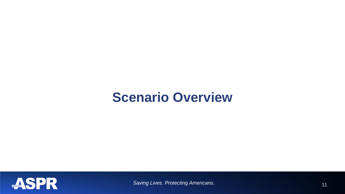#### **Scenario Overview**

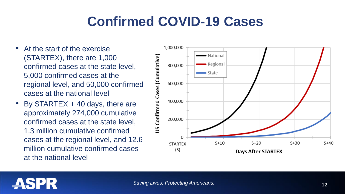# **Confirmed COVID-19 Cases**

- At the start of the exercise (STARTEX), there are 1,000 confirmed cases at the state level, 5,000 confirmed cases at the regional level, and 50,000 confirmed cases at the national level
- By STARTEX  $+$  40 days, there are approximately 274,000 cumulative confirmed cases at the state level, 1.3 million cumulative confirmed cases at the regional level, and 12.6 million cumulative confirmed cases at the national level



## **ASPR**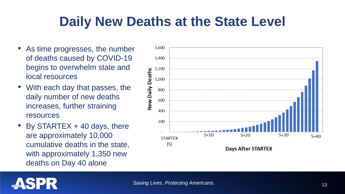### **Daily New Deaths at the State Level**

- As time progresses, the number of deaths caused by COVID-19 begins to overwhelm state and local resources
- With each day that passes, the daily number of new deaths increases, further straining resources
- By STARTEX  $+$  40 days, there are approximately 10,000 cumulative deaths in the state, with approximately 1,350 new deaths on Day 40 alone

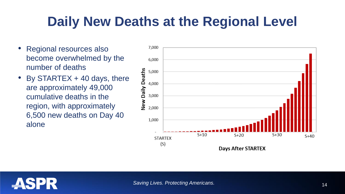# **Daily New Deaths at the Regional Level**

- Regional resources also become overwhelmed by the number of deaths
- By STARTEX  $+$  40 days, there are approximately 49,000 cumulative deaths in the region, with approximately 6,500 new deaths on Day 40 alone



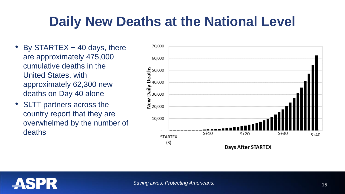# **Daily New Deaths at the National Level**

- By STARTEX  $+$  40 days, there are approximately 475,000 cumulative deaths in the United States, with approximately 62,300 new deaths on Day 40 alone
- SLTT partners across the country report that they are overwhelmed by the number of deaths



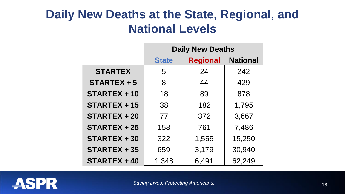#### **Daily New Deaths at the State, Regional, and National Levels**

|                     | <b>Daily New Deaths</b> |                 |                 |
|---------------------|-------------------------|-----------------|-----------------|
|                     | <b>State</b>            | <b>Regional</b> | <b>National</b> |
| <b>STARTEX</b>      | 5                       | 24              | 242             |
| STARTEX + 5         | 8                       | 44              | 429             |
| STARTEX + 10        | 18                      | 89              | 878             |
| $STATEX + 15$       | 38                      | 182             | 1,795           |
| <b>STARTEX + 20</b> | 77                      | 372             | 3,667           |
| $STATEX + 25$       | 158                     | 761             | 7,486           |
| STARTEX + 30        | 322                     | 1,555           | 15,250          |
| $STATEX + 35$       | 659                     | 3,179           | 30,940          |
| STARTEX + 40        | 1,348                   | 6,491           | 62,249          |

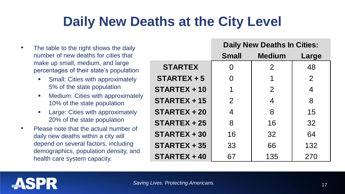# **Daily New Deaths at the City Level**

• The table to the right shows the daily number of new deaths for cities that make up small, medium, and large percentages of their state's population **Small: Cities with approximately** 5% of the state population **•** Medium: Cities with approximately 10% of the state population **EXEC** Large: Cities with approximately 20% of the state population • Please note that the actual number of daily new deaths within a city will depend on several factors, including demographics, population density, and health care system capacity. **Small Medium Large STARTEX** 0 0 2 48 **STARTEX + 5** 0 0 1 1 2 **STARTEX + 10** 1 1 2 4 **STARTEX + 15** 2 4 4 8 **STARTEX + 20** 4 4 8 15 **STARTEX + 25** 8 1 32 **STARTEX + 30** 16 16 32 64 **STARTEX + 35**  $\vert$  33  $\vert$  66  $\vert$  132 **STARTEX + 40** 67 135 270 **Daily New Deaths In Cities:**

**ASPR** 

17 *Saving Lives. Protecting Americans.*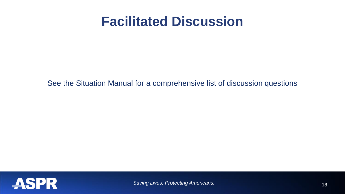#### **Facilitated Discussion**

See the Situation Manual for a comprehensive list of discussion questions

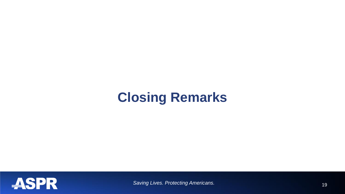### **Closing Remarks**